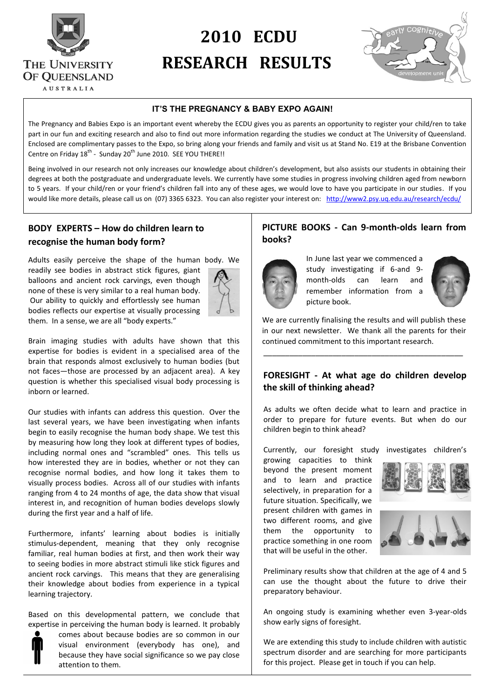

# S **2010 ECDU** THE UNIVERSITY **RESEARCH RESULTS**<br>Of QUEENSLAND



#### **IT'S THE PREGNANCY & BABY EXPO AGAIN!**

The Pregnancy and Babies Expo is an important event whereby the ECDU gives you as parents an opportunity to register your child/ren to take part in our fun and exciting research and also to find out more information regarding the studies we conduct at The University of Queensland. Enclosed are complimentary passes to the Expo, so bring along your friends and family and visit us at Stand No. E19 at the Brisbane Convention Centre on Friday  $18^{th}$  - Sunday  $20^{th}$  June 2010. SEE YOU THERE!!

Being involved in our research not only increases our knowledge about children's development, but also assists our students in obtaining their degrees at both the postgraduate and undergraduate levels. We currently have some studies in progress involving children aged from newborn to 5 years. If your child/ren or your friend's children fall into any of these ages, we would love to have you participate in our studies. If you would like more details, please call us on (07) 3365 6323. You can also register your interest on: <http://www2.psy.uq.edu.au/research/ecdu/>

## **BODY EXPERTS – How do children learn to recognise the human body form?**

Adults easily perceive the shape of the human body. We readily see bodies in abstract stick figures, giant balloons and ancient rock carvings, even though none of these is very similar to a real human body. Our ability to quickly and effortlessly see human bodies reflects our expertise at visually processing them. In a sense, we are all "body experts."



Brain imaging studies with adults have shown that this expertise for bodies is evident in a specialised area of the brain that responds almost exclusively to human bodies (but not faces—those are processed by an adjacent area). A key question is whether this specialised visual body processing is inborn or learned.

Our studies with infants can address this question. Over the last several years, we have been investigating when infants begin to easily recognise the human body shape. We test this by measuring how long they look at different types of bodies, including normal ones and "scrambled" ones. This tells us how interested they are in bodies, whether or not they can recognise normal bodies, and how long it takes them to visually process bodies. Across all of our studies with infants ranging from 4 to 24 months of age, the data show that visual interest in, and recognition of human bodies develops slowly during the first year and a half of life.

Furthermore, infants' learning about bodies is initially stimulus-dependent, meaning that they only recognise familiar, real human bodies at first, and then work their way to seeing bodies in more abstract stimuli like stick figures and ancient rock carvings. This means that they are generalising their knowledge about bodies from experience in a typical learning trajectory.

Based on this developmental pattern, we conclude that expertise in perceiving the human body is learned. It probably

> comes about because bodies are so common in our visual environment (everybody has one), and because they have social significance so we pay close attention to them.

## **PICTURE BOOKS - Can 9-month-olds learn from books?**



In June last year we commenced a study investigating if 6-and 9 month-olds can learn and remember information from a picture book.



We are currently finalising the results and will publish these in our next newsletter. We thank all the parents for their continued commitment to this important research.

\_\_\_\_\_\_\_\_\_\_\_\_\_\_\_\_\_\_\_\_\_\_\_\_\_\_\_\_\_\_\_\_\_\_\_\_\_\_\_\_\_\_\_\_\_\_

## **FORESIGHT - At what age do children develop the skill of thinking ahead?**

As adults we often decide what to learn and practice in order to prepare for future events. But when do our children begin to think ahead?

Currently, our foresight study investigates children's

growing capacities to think beyond the present moment and to learn and practice selectively, in preparation for a future situation. Specifically, we present children with games in two different rooms, and give them the opportunity to practice something in one room that will be useful in the other.



Preliminary results show that children at the age of 4 and 5 can use the thought about the future to drive their preparatory behaviour.

An ongoing study is examining whether even 3-year-olds show early signs of foresight.

We are extending this study to include children with autistic spectrum disorder and are searching for more participants for this project. Please get in touch if you can help.